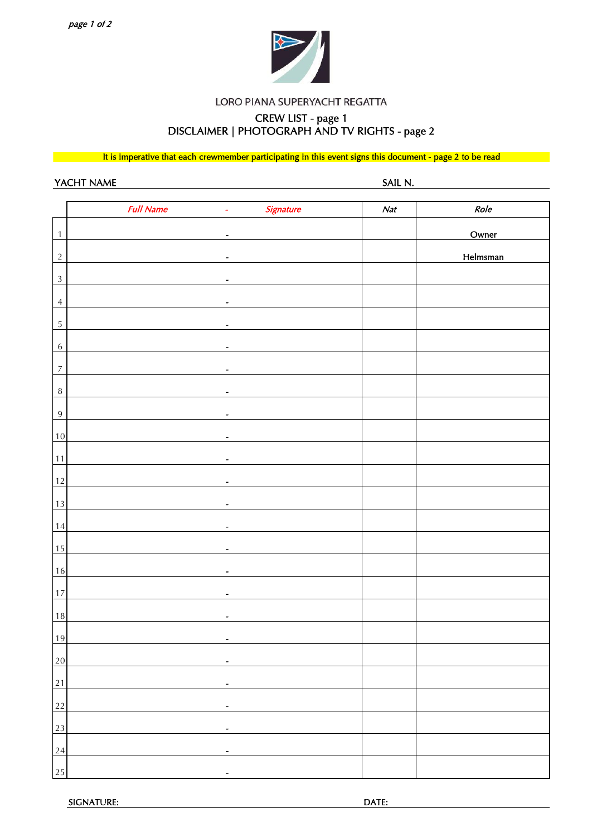

#### LORO PIANA SUPERYACHT REGATTA

# CREW LIST - page 1 DISCLAIMER | PHOTOGRAPH AND TV RIGHTS - page 2

It is imperative that each crewmember participating in this event signs this document - page 2 to be read

YACHT NAME SAIL N.

|                  | <b>Full Name</b> | Signature<br>$\blacksquare$  | Nat | Role     |
|------------------|------------------|------------------------------|-----|----------|
| $\overline{1}$   |                  | $\tilde{\phantom{a}}$        |     | Owner    |
| $\overline{2}$   |                  | $\overline{a}$               |     | Helmsman |
| $\sqrt{3}$       |                  | $\qquad \qquad \blacksquare$ |     |          |
|                  |                  |                              |     |          |
| $\overline{4}$   |                  | $\overline{\phantom{a}}$     |     |          |
| $\overline{5}$   |                  | $\qquad \qquad \blacksquare$ |     |          |
| $\sqrt{6}$       |                  | $\overline{\phantom{a}}$     |     |          |
| $\overline{7}$   |                  | $\overline{a}$               |     |          |
| $\boldsymbol{8}$ |                  | $\overline{\phantom{0}}$     |     |          |
| $\overline{9}$   |                  |                              |     |          |
| $10$             |                  | $\qquad \qquad \blacksquare$ |     |          |
| 11               |                  | $\overline{a}$               |     |          |
| 12               |                  | $\overline{\phantom{0}}$     |     |          |
| 13               |                  | $\overline{\phantom{0}}$     |     |          |
| $14\,$           |                  | $\overline{\phantom{a}}$     |     |          |
| 15               |                  | $\qquad \qquad \blacksquare$ |     |          |
| 16               |                  | $\qquad \qquad \blacksquare$ |     |          |
|                  |                  |                              |     |          |
| 17               |                  |                              |     |          |
| 18               |                  |                              |     |          |
| 19               |                  | $\overline{\phantom{0}}$     |     |          |
| 20               |                  |                              |     |          |
| $\overline{21}$  |                  |                              |     |          |
| $\overline{22}$  |                  |                              |     |          |
| 23               |                  | -                            |     |          |
| 24               |                  |                              |     |          |
| 25               |                  | -                            |     |          |